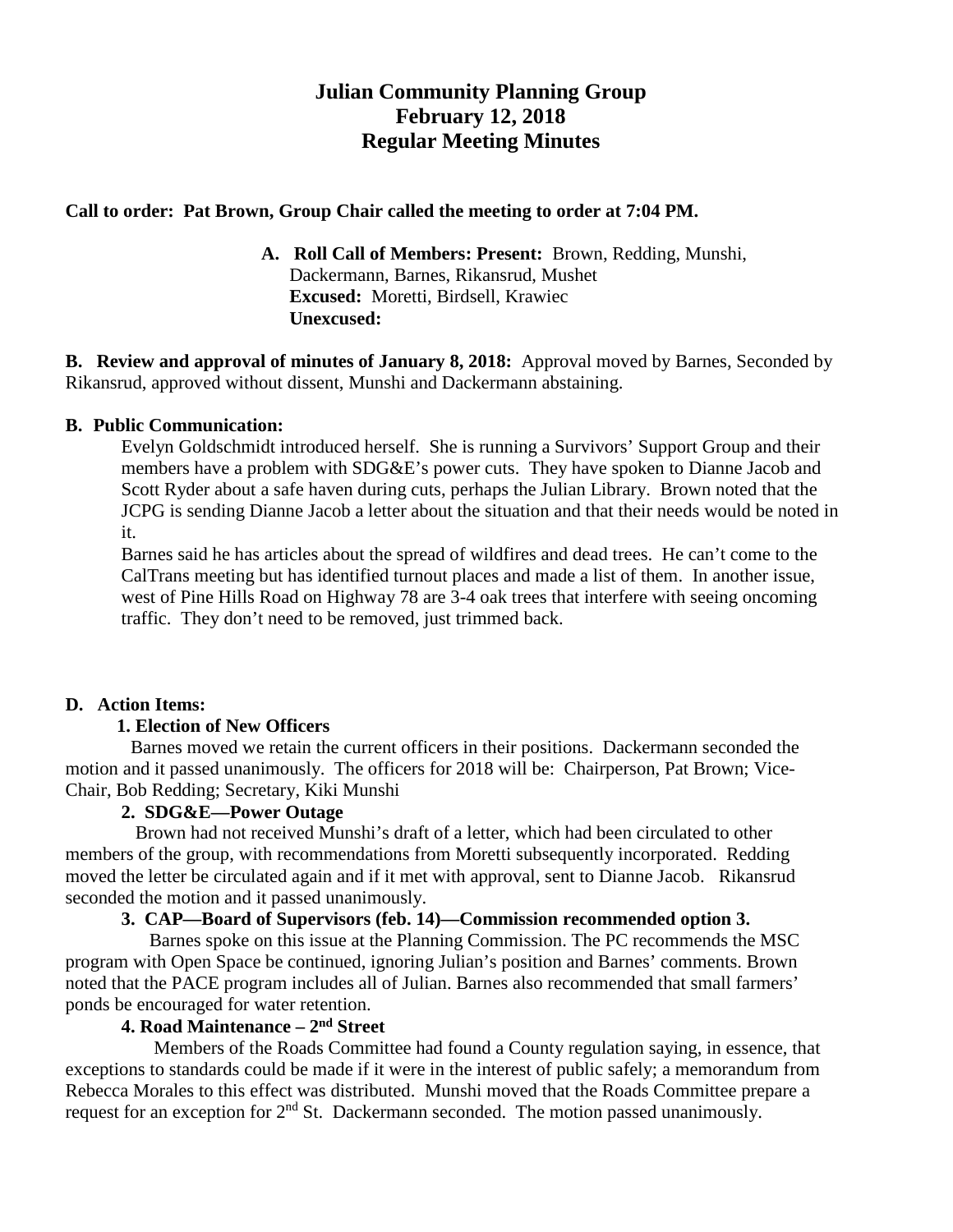# **Julian Community Planning Group February 12, 2018 Regular Meeting Minutes**

#### **Call to order: Pat Brown, Group Chair called the meeting to order at 7:04 PM.**

**A. Roll Call of Members: Present:** Brown, Redding, Munshi, Dackermann, Barnes, Rikansrud, Mushet **Excused:** Moretti, Birdsell, Krawiec  **Unexcused:** 

**B. Review and approval of minutes of January 8, 2018:** Approval moved by Barnes, Seconded by Rikansrud, approved without dissent, Munshi and Dackermann abstaining.

#### **B. Public Communication:**

Evelyn Goldschmidt introduced herself. She is running a Survivors' Support Group and their members have a problem with SDG&E's power cuts. They have spoken to Dianne Jacob and Scott Ryder about a safe haven during cuts, perhaps the Julian Library. Brown noted that the JCPG is sending Dianne Jacob a letter about the situation and that their needs would be noted in it.

Barnes said he has articles about the spread of wildfires and dead trees. He can't come to the CalTrans meeting but has identified turnout places and made a list of them. In another issue, west of Pine Hills Road on Highway 78 are 3-4 oak trees that interfere with seeing oncoming traffic. They don't need to be removed, just trimmed back.

## **D. Action Items:**

## **1. Election of New Officers**

Barnes moved we retain the current officers in their positions. Dackermann seconded the motion and it passed unanimously. The officers for 2018 will be: Chairperson, Pat Brown; Vice-Chair, Bob Redding; Secretary, Kiki Munshi

## **2. SDG&E—Power Outage**

Brown had not received Munshi's draft of a letter, which had been circulated to other members of the group, with recommendations from Moretti subsequently incorporated. Redding moved the letter be circulated again and if it met with approval, sent to Dianne Jacob. Rikansrud seconded the motion and it passed unanimously.

## **3. CAP—Board of Supervisors (feb. 14)—Commission recommended option 3.**

Barnes spoke on this issue at the Planning Commission. The PC recommends the MSC program with Open Space be continued, ignoring Julian's position and Barnes' comments. Brown noted that the PACE program includes all of Julian. Barnes also recommended that small farmers' ponds be encouraged for water retention.

## **4. Road Maintenance – 2nd Street**

Members of the Roads Committee had found a County regulation saying, in essence, that exceptions to standards could be made if it were in the interest of public safely; a memorandum from Rebecca Morales to this effect was distributed. Munshi moved that the Roads Committee prepare a request for an exception for 2<sup>nd</sup> St. Dackermann seconded. The motion passed unanimously.